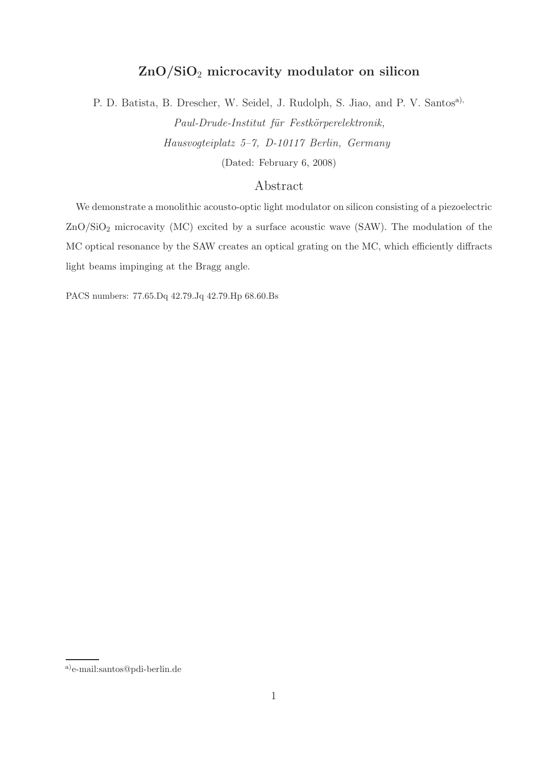## ZnO/SiO<sup>2</sup> microcavity modulator on silicon

P. D. Batista, B. Drescher, W. Seidel, J. Rudolph, S. Jiao, and P. V. Santos<sup>a),</sup> Paul-Drude-Institut für Festkörperelektronik, Hausvogteiplatz 5–7, D-10117 Berlin, Germany (Dated: February 6, 2008)

## Abstract

We demonstrate a monolithic acousto-optic light modulator on silicon consisting of a piezoelectric ZnO/SiO<sup>2</sup> microcavity (MC) excited by a surface acoustic wave (SAW). The modulation of the MC optical resonance by the SAW creates an optical grating on the MC, which efficiently diffracts light beams impinging at the Bragg angle.

PACS numbers: 77.65.Dq 42.79.Jq 42.79.Hp 68.60.Bs

a)e-mail:santos@pdi-berlin.de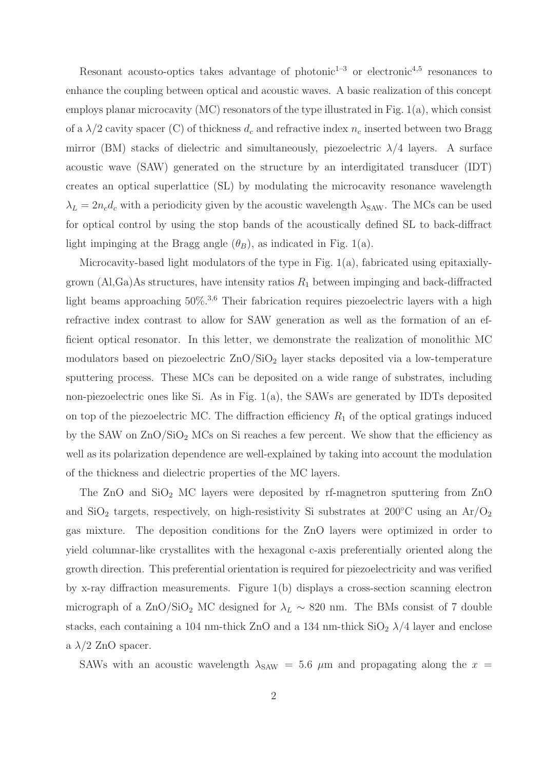Resonant acousto-optics takes advantage of photonic<sup>1-3</sup> or electronic<sup>4,5</sup> resonances to enhance the coupling between optical and acoustic waves. A basic realization of this concept employs planar microcavity (MC) resonators of the type illustrated in Fig. 1(a), which consist of a  $\lambda/2$  cavity spacer (C) of thickness  $d_c$  and refractive index  $n_c$  inserted between two Bragg mirror (BM) stacks of dielectric and simultaneously, piezoelectric  $\lambda/4$  layers. A surface acoustic wave (SAW) generated on the structure by an interdigitated transducer (IDT) creates an optical superlattice (SL) by modulating the microcavity resonance wavelength  $\lambda_L = 2n_c d_c$  with a periodicity given by the acoustic wavelength  $\lambda_{SAW}$ . The MCs can be used for optical control by using the stop bands of the acoustically defined SL to back-diffract light impinging at the Bragg angle  $(\theta_B)$ , as indicated in Fig. 1(a).

Microcavity-based light modulators of the type in Fig. 1(a), fabricated using epitaxiallygrown  $(A, Ga)As$  structures, have intensity ratios  $R_1$  between impinging and back-diffracted light beams approaching  $50\%$ <sup>3,6</sup> Their fabrication requires piezoelectric layers with a high refractive index contrast to allow for SAW generation as well as the formation of an efficient optical resonator. In this letter, we demonstrate the realization of monolithic MC modulators based on piezoelectric  $\text{ZnO/SiO}_2$  layer stacks deposited via a low-temperature sputtering process. These MCs can be deposited on a wide range of substrates, including non-piezoelectric ones like Si. As in Fig. 1(a), the SAWs are generated by IDTs deposited on top of the piezoelectric MC. The diffraction efficiency  $R_1$  of the optical gratings induced by the SAW on  $\rm ZnO/SiO<sub>2</sub>$  MCs on Si reaches a few percent. We show that the efficiency as well as its polarization dependence are well-explained by taking into account the modulation of the thickness and dielectric properties of the MC layers.

The  $ZnO$  and  $SiO<sub>2</sub>$  MC layers were deposited by rf-magnetron sputtering from  $ZnO$ and SiO<sub>2</sub> targets, respectively, on high-resistivity Si substrates at 200 $\degree$ C using an Ar/O<sub>2</sub> gas mixture. The deposition conditions for the ZnO layers were optimized in order to yield columnar-like crystallites with the hexagonal c-axis preferentially oriented along the growth direction. This preferential orientation is required for piezoelectricity and was verified by x-ray diffraction measurements. Figure 1(b) displays a cross-section scanning electron micrograph of a ZnO/SiO<sub>2</sub> MC designed for  $\lambda_L \sim 820$  nm. The BMs consist of 7 double stacks, each containing a 104 nm-thick  $ZnO$  and a 134 nm-thick  $SiO<sub>2</sub> \lambda/4$  layer and enclose a  $\lambda/2$  ZnO spacer.

SAWs with an acoustic wavelength  $\lambda_{SAW} = 5.6 \mu m$  and propagating along the  $x =$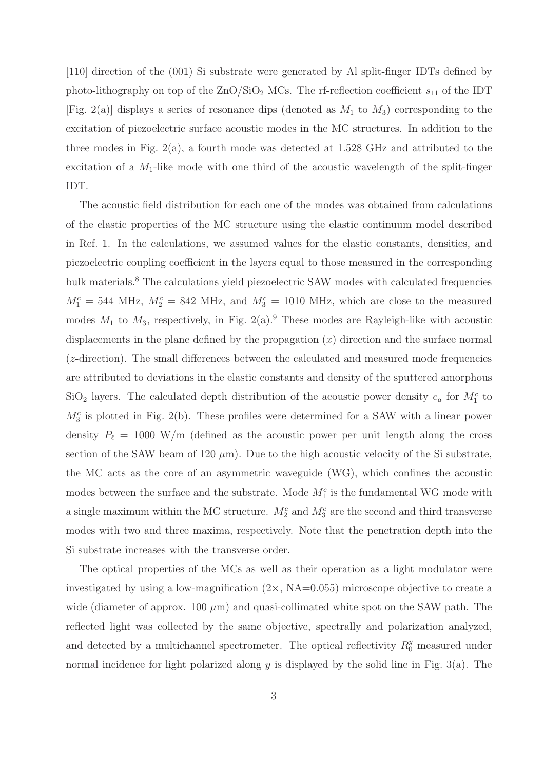[110] direction of the (001) Si substrate were generated by Al split-finger IDTs defined by photo-lithography on top of the  $\text{ZnO/SiO}_2$  MCs. The rf-reflection coefficient  $s_{11}$  of the IDT [Fig. 2(a)] displays a series of resonance dips (denoted as  $M_1$  to  $M_3$ ) corresponding to the excitation of piezoelectric surface acoustic modes in the MC structures. In addition to the three modes in Fig. 2(a), a fourth mode was detected at 1.528 GHz and attributed to the excitation of a  $M_1$ -like mode with one third of the acoustic wavelength of the split-finger IDT.

The acoustic field distribution for each one of the modes was obtained from calculations of the elastic properties of the MC structure using the elastic continuum model described in Ref. 1. In the calculations, we assumed values for the elastic constants, densities, and piezoelectric coupling coefficient in the layers equal to those measured in the corresponding bulk materials.<sup>8</sup> The calculations yield piezoelectric SAW modes with calculated frequencies  $M_1^c = 544$  MHz,  $M_2^c = 842$  MHz, and  $M_3^c = 1010$  MHz, which are close to the measured modes  $M_1$  to  $M_3$ , respectively, in Fig. 2(a).<sup>9</sup> These modes are Rayleigh-like with acoustic displacements in the plane defined by the propagation  $(x)$  direction and the surface normal (z-direction). The small differences between the calculated and measured mode frequencies are attributed to deviations in the elastic constants and density of the sputtered amorphous  $\text{SiO}_2$  layers. The calculated depth distribution of the acoustic power density  $e_a$  for  $M_1^c$  to  $M_3^c$  is plotted in Fig. 2(b). These profiles were determined for a SAW with a linear power density  $P_{\ell} = 1000 \text{ W/m}$  (defined as the acoustic power per unit length along the cross section of the SAW beam of 120  $\mu$ m). Due to the high acoustic velocity of the Si substrate, the MC acts as the core of an asymmetric waveguide (WG), which confines the acoustic modes between the surface and the substrate. Mode  $M_1^c$  is the fundamental WG mode with a single maximum within the MC structure.  $M_2^c$  and  $M_3^c$  are the second and third transverse modes with two and three maxima, respectively. Note that the penetration depth into the Si substrate increases with the transverse order.

The optical properties of the MCs as well as their operation as a light modulator were investigated by using a low-magnification  $(2 \times, NA=0.055)$  microscope objective to create a wide (diameter of approx.  $100 \mu m$ ) and quasi-collimated white spot on the SAW path. The reflected light was collected by the same objective, spectrally and polarization analyzed, and detected by a multichannel spectrometer. The optical reflectivity  $R_0^y$  measured under normal incidence for light polarized along  $y$  is displayed by the solid line in Fig. 3(a). The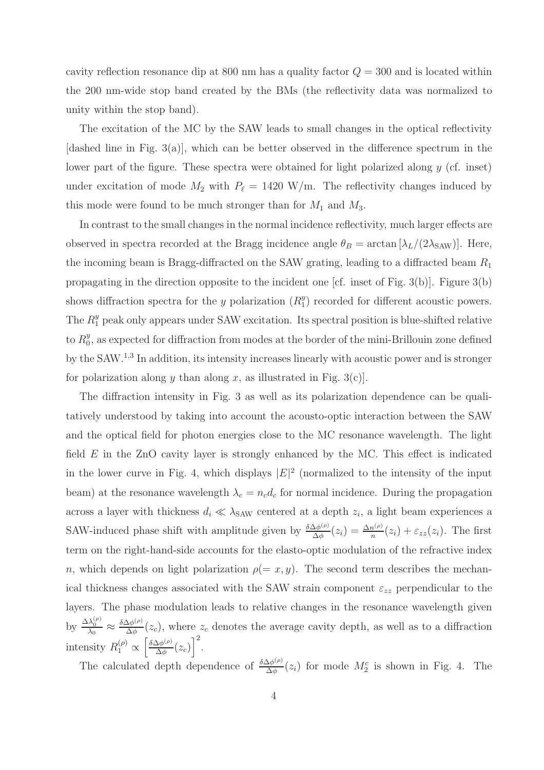cavity reflection resonance dip at 800 nm has a quality factor  $Q = 300$  and is located within the 200 nm-wide stop band created by the BMs (the reflectivity data was normalized to unity within the stop band).

The excitation of the MC by the SAW leads to small changes in the optical reflectivity [dashed line in Fig. 3(a)], which can be better observed in the difference spectrum in the lower part of the figure. These spectra were obtained for light polarized along  $y$  (cf. inset) under excitation of mode  $M_2$  with  $P_\ell = 1420$  W/m. The reflectivity changes induced by this mode were found to be much stronger than for  $M_1$  and  $M_3$ .

In contrast to the small changes in the normal incidence reflectivity, much larger effects are observed in spectra recorded at the Bragg incidence angle  $\theta_B = \arctan[\lambda_L/(2\lambda_{SAW})]$ . Here, the incoming beam is Bragg-diffracted on the SAW grating, leading to a diffracted beam  $R_1$ propagating in the direction opposite to the incident one [cf. inset of Fig. 3(b)]. Figure 3(b) shows diffraction spectra for the y polarization  $(R_1^y)$  $_{1}^{y}$ ) recorded for different acoustic powers. The  $R_1^y$  peak only appears under SAW excitation. Its spectral position is blue-shifted relative to  $R_0^y$  $\frac{y}{0}$ , as expected for diffraction from modes at the border of the mini-Brillouin zone defined by the SAW.<sup>1,3</sup> In addition, its intensity increases linearly with acoustic power and is stronger for polarization along y than along x, as illustrated in Fig. 3(c).

The diffraction intensity in Fig. 3 as well as its polarization dependence can be qualitatively understood by taking into account the acousto-optic interaction between the SAW and the optical field for photon energies close to the MC resonance wavelength. The light field  $E$  in the ZnO cavity layer is strongly enhanced by the MC. This effect is indicated in the lower curve in Fig. 4, which displays  $|E|^2$  (normalized to the intensity of the input beam) at the resonance wavelength  $\lambda_c = n_c d_c$  for normal incidence. During the propagation across a layer with thickness  $d_i \ll \lambda_{SAW}$  centered at a depth  $z_i$ , a light beam experiences a SAW-induced phase shift with amplitude given by  $\frac{\delta \Delta \phi^{(\rho)}}{\Delta \phi}$  $\frac{\Delta\phi^{(\rho)}}{\Delta\phi}(z_i)=\frac{\Delta n^{(\rho)}}{n}$  $\frac{n^{(\nu)}}{n}(z_i) + \varepsilon_{zz}(z_i)$ . The first term on the right-hand-side accounts for the elasto-optic modulation of the refractive index n, which depends on light polarization  $\rho(=x, y)$ . The second term describes the mechanical thickness changes associated with the SAW strain component  $\varepsilon_{zz}$  perpendicular to the layers. The phase modulation leads to relative changes in the resonance wavelength given by  $\frac{\Delta\lambda_0^{(\rho)}}{\lambda_0} \approx \frac{\delta\Delta\phi^{(\rho)}}{\Delta\phi}$  $\frac{\Delta \phi^{(\nu)}}{\Delta \phi}(z_c)$ , where  $z_c$  denotes the average cavity depth, as well as to a diffraction intensity  $R_1^{(\rho)} \propto \left[\frac{\delta \Delta \phi^{(\rho)}}{\Delta \phi}\right]$  $\frac{\Delta\phi^{(\rho)}}{\Delta\phi}(z_c)\Big]^2.$ 

The calculated depth dependence of  $\frac{\delta \Delta \phi^{(\rho)}}{\Delta \phi}$  $\frac{\Delta \phi^{(\rho)}}{\Delta \phi}(z_i)$  for mode  $M_2^c$  is shown in Fig. 4. The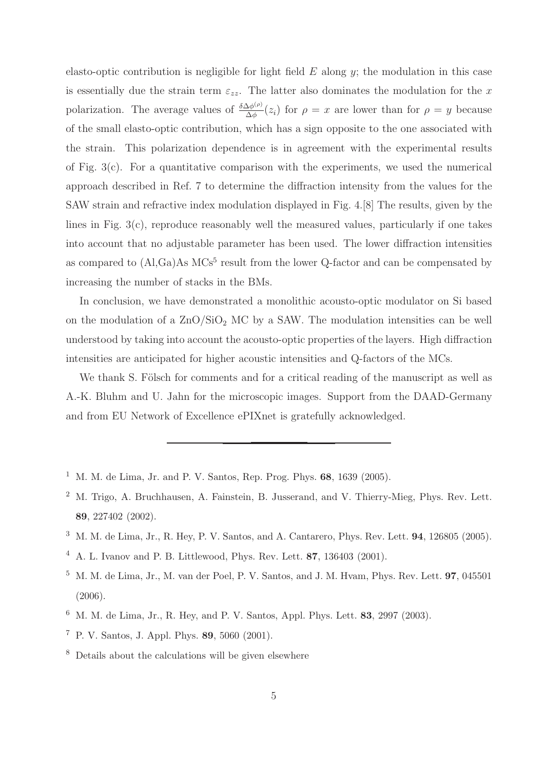elasto-optic contribution is negligible for light field  $E$  along  $y$ ; the modulation in this case is essentially due the strain term  $\varepsilon_{zz}$ . The latter also dominates the modulation for the x polarization. The average values of  $\frac{\delta \Delta \phi^{(\rho)}}{\Delta \phi}$  $\frac{\Delta \phi^{(\rho)}}{\Delta \phi}(z_i)$  for  $\rho = x$  are lower than for  $\rho = y$  because of the small elasto-optic contribution, which has a sign opposite to the one associated with the strain. This polarization dependence is in agreement with the experimental results of Fig.  $3(c)$ . For a quantitative comparison with the experiments, we used the numerical approach described in Ref. 7 to determine the diffraction intensity from the values for the SAW strain and refractive index modulation displayed in Fig. 4.[8] The results, given by the lines in Fig. 3(c), reproduce reasonably well the measured values, particularly if one takes into account that no adjustable parameter has been used. The lower diffraction intensities as compared to  $(AI, Ga)As MCs<sup>5</sup>$  result from the lower Q-factor and can be compensated by increasing the number of stacks in the BMs.

In conclusion, we have demonstrated a monolithic acousto-optic modulator on Si based on the modulation of a  $\text{ZnO/SiO}_2$  MC by a SAW. The modulation intensities can be well understood by taking into account the acousto-optic properties of the layers. High diffraction intensities are anticipated for higher acoustic intensities and Q-factors of the MCs.

We thank S. Fölsch for comments and for a critical reading of the manuscript as well as A.-K. Bluhm and U. Jahn for the microscopic images. Support from the DAAD-Germany and from EU Network of Excellence ePIXnet is gratefully acknowledged.

- <sup>1</sup> M. M. de Lima, Jr. and P. V. Santos, Rep. Prog. Phys. **68**, 1639 (2005).
- <sup>2</sup> M. Trigo, A. Bruchhausen, A. Fainstein, B. Jusserand, and V. Thierry-Mieg, Phys. Rev. Lett. 89, 227402 (2002).
- <sup>3</sup> M. M. de Lima, Jr., R. Hey, P. V. Santos, and A. Cantarero, Phys. Rev. Lett. 94, 126805 (2005).
- <sup>4</sup> A. L. Ivanov and P. B. Littlewood, Phys. Rev. Lett. 87, 136403 (2001).
- $^5$  M. M. de Lima, Jr., M. van der Poel, P. V. Santos, and J. M. Hvam, Phys. Rev. Lett. **97**, 045501 (2006).
- $6\,$  M. M. de Lima, Jr., R. Hey, and P. V. Santos, Appl. Phys. Lett. 83, 2997 (2003).
- <sup>7</sup> P. V. Santos, J. Appl. Phys. 89, 5060 (2001).
- <sup>8</sup> Details about the calculations will be given elsewhere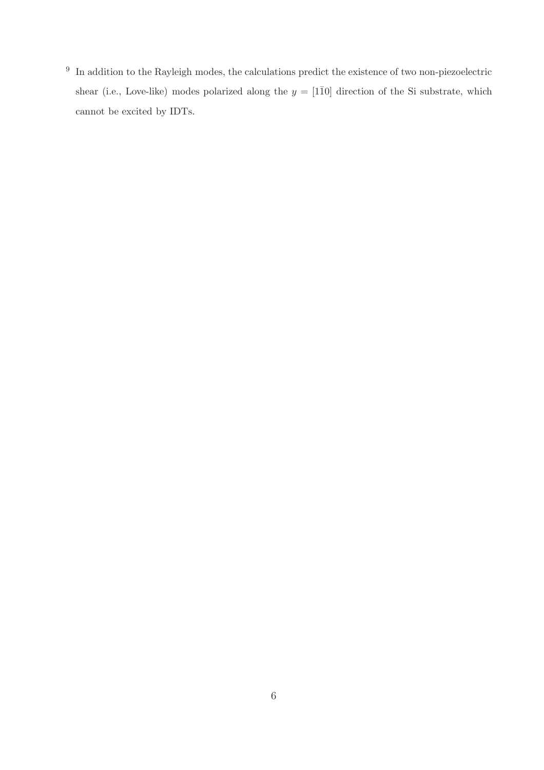<sup>9</sup> In addition to the Rayleigh modes, the calculations predict the existence of two non-piezoelectric shear (i.e., Love-like) modes polarized along the  $y = [1\overline{1}0]$  direction of the Si substrate, which cannot be excited by IDTs.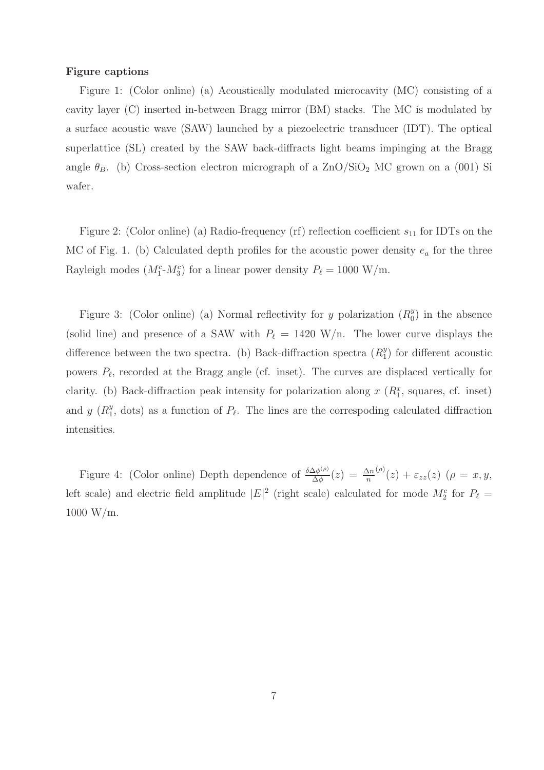## Figure captions

Figure 1: (Color online) (a) Acoustically modulated microcavity (MC) consisting of a cavity layer (C) inserted in-between Bragg mirror (BM) stacks. The MC is modulated by a surface acoustic wave (SAW) launched by a piezoelectric transducer (IDT). The optical superlattice (SL) created by the SAW back-diffracts light beams impinging at the Bragg angle  $\theta_B$ . (b) Cross-section electron micrograph of a ZnO/SiO<sub>2</sub> MC grown on a (001) Si wafer.

Figure 2: (Color online) (a) Radio-frequency (rf) reflection coefficient  $s_{11}$  for IDTs on the MC of Fig. 1. (b) Calculated depth profiles for the acoustic power density  $e_a$  for the three Rayleigh modes  $(M_1^c \text{-} M_3^c)$  for a linear power density  $P_\ell = 1000 \text{ W/m}$ .

Figure 3: (Color online) (a) Normal reflectivity for y polarization  $(R_0^y)$  $\binom{y}{0}$  in the absence (solid line) and presence of a SAW with  $P_{\ell} = 1420 \text{ W/n}$ . The lower curve displays the difference between the two spectra. (b) Back-diffraction spectra  $(R_1^y)$  $_{1}^{y}$ ) for different acoustic powers  $P_{\ell}$ , recorded at the Bragg angle (cf. inset). The curves are displaced vertically for clarity. (b) Back-diffraction peak intensity for polarization along  $x(R_1^x,$  squares, cf. inset) and  $y(R_1^y)$  $_1^y$ , dots) as a function of  $P_\ell$ . The lines are the correspoding calculated diffraction intensities.

Figure 4: (Color online) Depth dependence of  $\frac{\delta \Delta \phi^{(\rho)}}{\Delta \phi}$  $\frac{\Delta\phi^{(\rho)}}{\Delta\phi}(z) = \frac{\Delta n}{n}$  $\phi^{(\rho)}(z) + \varepsilon_{zz}(z)$   $(\rho = x, y, z)$ left scale) and electric field amplitude  $|E|^2$  (right scale) calculated for mode  $M_2^c$  for  $P_\ell =$ 1000 W/m.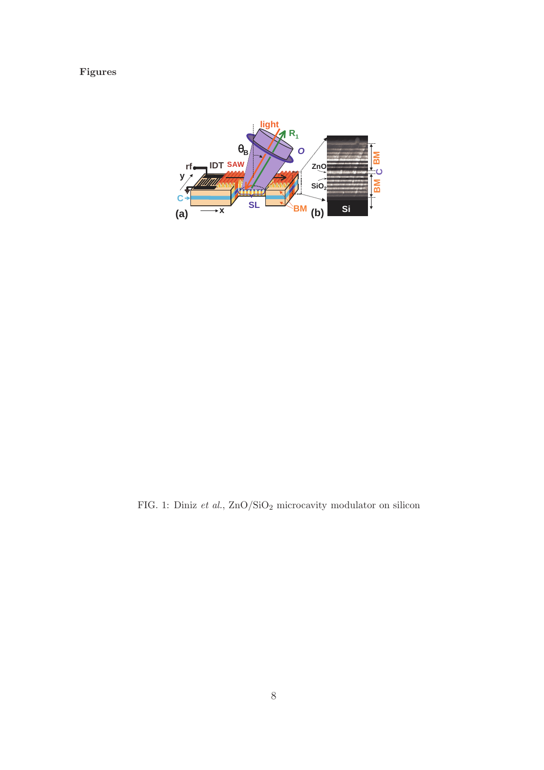## Figures



FIG. 1: Diniz  $et~al.,$  ZnO/SiO2 microcavity modulator on silicon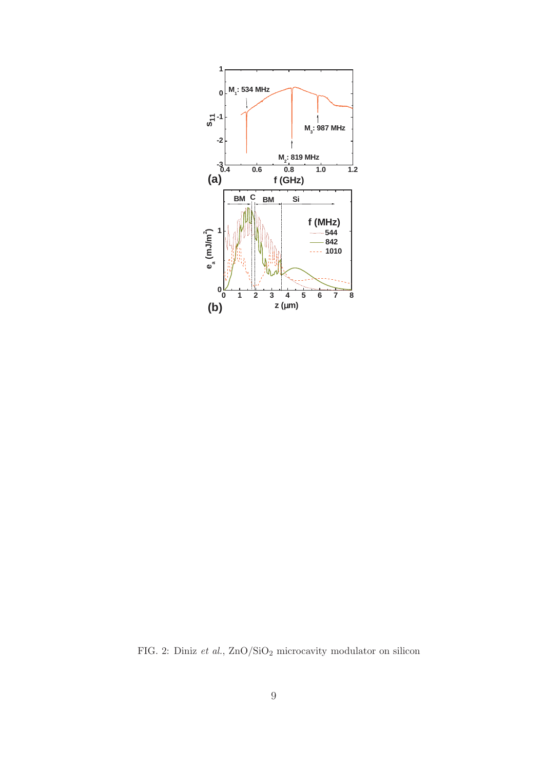

FIG. 2: Diniz  $et~al.,$   ${\rm ZnO/SiO_2}$  microcavity modulator on silicon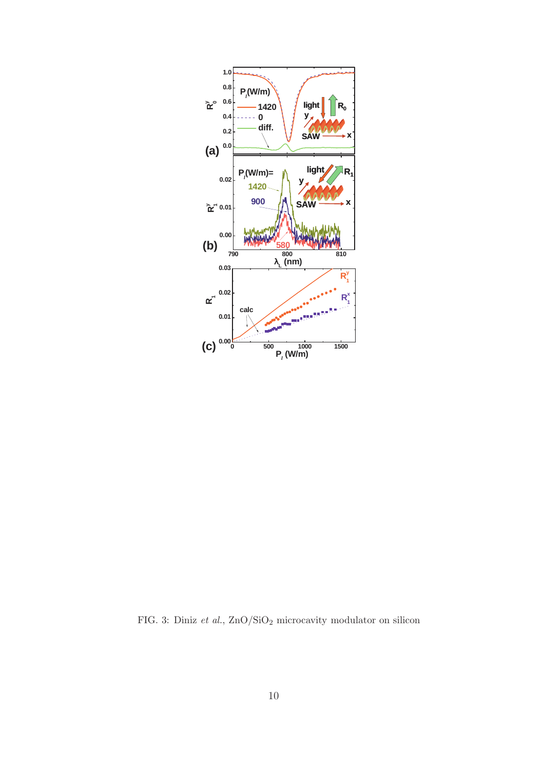

FIG. 3: Diniz  $et~al.,$   ${\rm ZnO/SiO_2}$  microcavity modulator on silicon